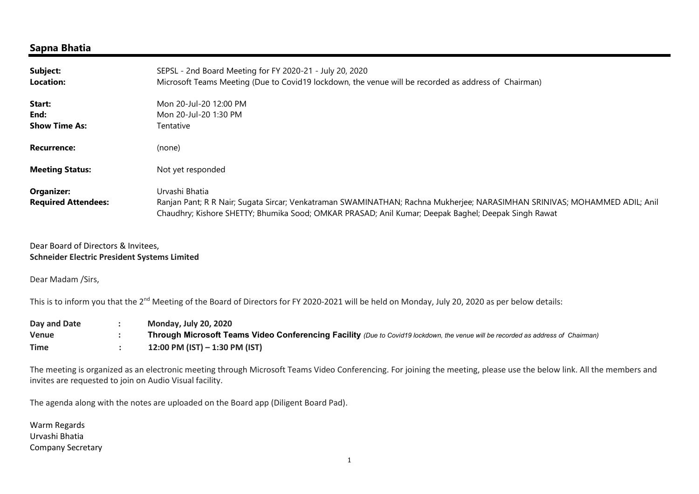## Sapna Bhatia

| Subject:<br><b>Location:</b>             | SEPSL - 2nd Board Meeting for FY 2020-21 - July 20, 2020<br>Microsoft Teams Meeting (Due to Covid19 lockdown, the venue will be recorded as address of Chairman)                                                                                   |
|------------------------------------------|----------------------------------------------------------------------------------------------------------------------------------------------------------------------------------------------------------------------------------------------------|
| Start:<br>End:<br><b>Show Time As:</b>   | Mon 20-Jul-20 12:00 PM<br>Mon 20-Jul-20 1:30 PM<br>Tentative                                                                                                                                                                                       |
| <b>Recurrence:</b>                       | (none)                                                                                                                                                                                                                                             |
| <b>Meeting Status:</b>                   | Not yet responded                                                                                                                                                                                                                                  |
| Organizer:<br><b>Required Attendees:</b> | Urvashi Bhatia<br>Ranjan Pant; R R Nair; Sugata Sircar; Venkatraman SWAMINATHAN; Rachna Mukherjee; NARASIMHAN SRINIVAS; MOHAMMED ADIL; Anil<br>Chaudhry; Kishore SHETTY; Bhumika Sood; OMKAR PRASAD; Anil Kumar; Deepak Baghel; Deepak Singh Rawat |

Dear Board of Directors & Invitees, Schneider Electric President Systems Limited

Dear Madam /Sirs,

This is to inform you that the 2<sup>nd</sup> Meeting of the Board of Directors for FY 2020-2021 will be held on Monday, July 20, 2020 as per below details:

| Day and Date | <b>Monday, July 20, 2020</b>                                                                                                     |
|--------------|----------------------------------------------------------------------------------------------------------------------------------|
| Venue        | Through Microsoft Teams Video Conferencing Facility (Due to Covid19 lockdown, the venue will be recorded as address of Chairman) |
| <b>Time</b>  | 12:00 PM (IST) $-$ 1:30 PM (IST)                                                                                                 |

The meeting is organized as an electronic meeting through Microsoft Teams Video Conferencing. For joining the meeting, please use the below link. All the members and invites are requested to join on Audio Visual facility.

The agenda along with the notes are uploaded on the Board app (Diligent Board Pad).

Warm Regards Urvashi Bhatia Company Secretary